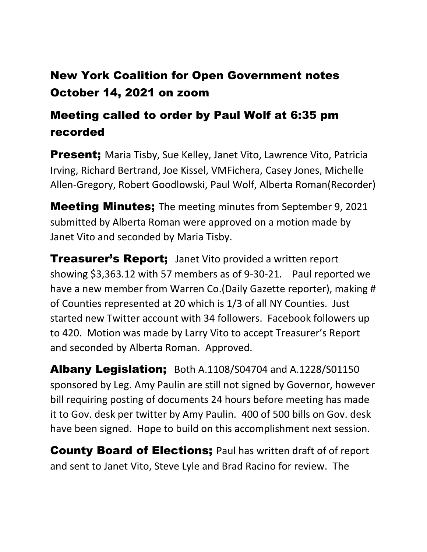## New York Coalition for Open Government notes October 14, 2021 on zoom

## Meeting called to order by Paul Wolf at 6:35 pm recorded

**Present:** Maria Tisby, Sue Kelley, Janet Vito, Lawrence Vito, Patricia Irving, Richard Bertrand, Joe Kissel, VMFichera, Casey Jones, Michelle Allen-Gregory, Robert Goodlowski, Paul Wolf, Alberta Roman(Recorder)

**Meeting Minutes;** The meeting minutes from September 9, 2021 submitted by Alberta Roman were approved on a motion made by Janet Vito and seconded by Maria Tisby.

**Treasurer's Report;** Janet Vito provided a written report showing \$3,363.12 with 57 members as of 9-30-21. Paul reported we have a new member from Warren Co.(Daily Gazette reporter), making # of Counties represented at 20 which is 1/3 of all NY Counties. Just started new Twitter account with 34 followers. Facebook followers up to 420. Motion was made by Larry Vito to accept Treasurer's Report and seconded by Alberta Roman. Approved.

Albany Legislation; Both A.1108/S04704 and A.1228/S01150 sponsored by Leg. Amy Paulin are still not signed by Governor, however bill requiring posting of documents 24 hours before meeting has made it to Gov. desk per twitter by Amy Paulin. 400 of 500 bills on Gov. desk have been signed. Hope to build on this accomplishment next session.

**County Board of Elections; Paul has written draft of of report** and sent to Janet Vito, Steve Lyle and Brad Racino for review. The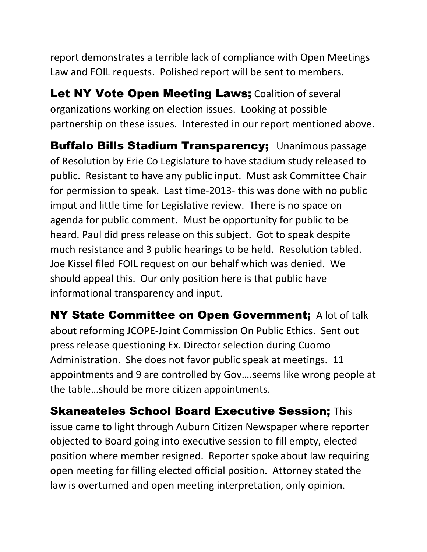report demonstrates a terrible lack of compliance with Open Meetings Law and FOIL requests. Polished report will be sent to members.

Let NY Vote Open Meeting Laws; Coalition of several organizations working on election issues. Looking at possible partnership on these issues. Interested in our report mentioned above.

Buffalo Bills Stadium Transparency; Unanimous passage of Resolution by Erie Co Legislature to have stadium study released to public. Resistant to have any public input. Must ask Committee Chair for permission to speak. Last time-2013- this was done with no public imput and little time for Legislative review. There is no space on agenda for public comment. Must be opportunity for public to be heard. Paul did press release on this subject. Got to speak despite much resistance and 3 public hearings to be held. Resolution tabled. Joe Kissel filed FOIL request on our behalf which was denied. We should appeal this. Our only position here is that public have informational transparency and input.

NY State Committee on Open Government; A lot of talk about reforming JCOPE-Joint Commission On Public Ethics. Sent out press release questioning Ex. Director selection during Cuomo Administration. She does not favor public speak at meetings. 11 appointments and 9 are controlled by Gov….seems like wrong people at the table…should be more citizen appointments.

Skaneateles School Board Executive Session; This issue came to light through Auburn Citizen Newspaper where reporter objected to Board going into executive session to fill empty, elected position where member resigned. Reporter spoke about law requiring open meeting for filling elected official position. Attorney stated the law is overturned and open meeting interpretation, only opinion.